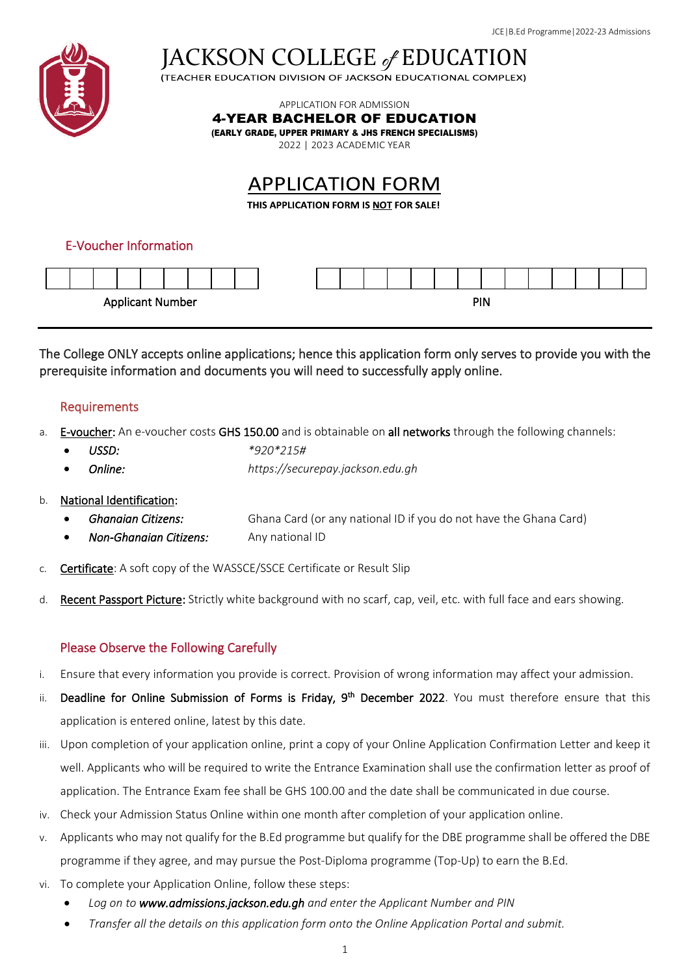

JACKSON COLLEGE of EDUCATION

APPLICATION FOR ADMISSION

4-YEAR BACHELOR OF EDUCATION

(EARLY GRADE, UPPER PRIMARY & JHS FRENCH SPECIALISMS)

2022 | 2023 ACADEMIC YEAR

# **APPLICATION FORM**

THIS APPLICATION FORM IS NOT FOR SALE!

## E-Voucher Information



The College ONLY accepts online applications; hence this application form only serves to provide you with the prerequisite information and documents you will need to successfully apply online.

## Requirements

- a. E-voucher: An e-voucher costs GHS 150.00 and is obtainable on all networks through the following channels:
	- *USSD: \*920\*215#*
	- *Online: https://securepay.jackson.edu.gh*
- b. National Identification:
	- *Ghanaian Citizens:* Ghana Card (or any national ID if you do not have the Ghana Card)
	- *Non-Ghanaian Citizens:* Any national ID
- c. Certificate: A soft copy of the WASSCE/SSCE Certificate or Result Slip
- d. Recent Passport Picture: Strictly white background with no scarf, cap, veil, etc. with full face and ears showing.

## Please Observe the Following Carefully

- i. Ensure that every information you provide is correct. Provision of wrong information may affect your admission.
- ii. Deadline for Online Submission of Forms is Friday, 9<sup>th</sup> December 2022. You must therefore ensure that this application is entered online, latest by this date.
- iii. Upon completion of your application online, print a copy of your Online Application Confirmation Letter and keep it well. Applicants who will be required to write the Entrance Examination shall use the confirmation letter as proof of application. The Entrance Exam fee shall be GHS 100.00 and the date shall be communicated in due course.
- iv. Check your Admission Status Online within one month after completion of your application online.
- v. Applicants who may not qualify for the B.Ed programme but qualify for the DBE programme shall be offered the DBE programme if they agree, and may pursue the Post-Diploma programme (Top-Up) to earn the B.Ed.
- vi. To complete your Application Online, follow these steps:
	- *Log on to www.admissions.jackson.edu.gh and enter the Applicant Number and PIN*
	- *Transfer all the details on this application form onto the Online Application Portal and submit.*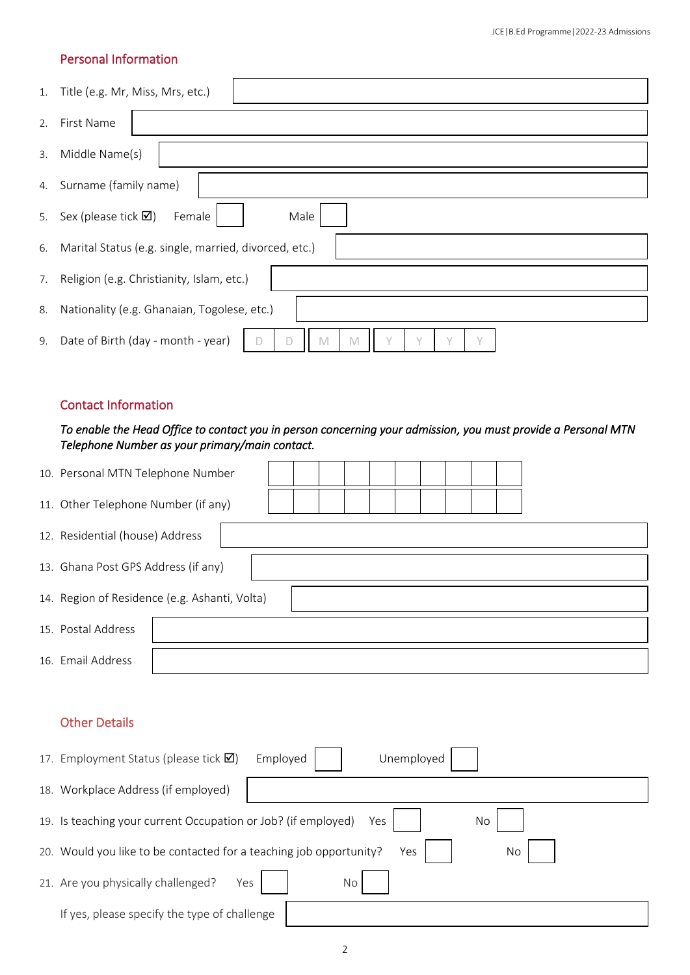# Personal Information

| 1. | Title (e.g. Mr, Miss, Mrs, etc.)                                          |
|----|---------------------------------------------------------------------------|
| 2. | First Name                                                                |
| 3. | Middle Name(s)                                                            |
| 4. | Surname (family name)                                                     |
| 5. | Male<br>Sex (please tick $\boxtimes$ )<br>Female                          |
| 6. | Marital Status (e.g. single, married, divorced, etc.)                     |
| 7. | Religion (e.g. Christianity, Islam, etc.)                                 |
| 8. | Nationality (e.g. Ghanaian, Togolese, etc.)                               |
| 9. | Date of Birth (day - month - year)<br>M<br>$\checkmark$<br>$\sqrt{}$<br>M |

#### Contact Information

## *To enable the Head Office to contact you in person concerning your admission, you must provide a Personal MTN Telephone Number as your primary/main contact.*

| 10. Personal MTN Telephone Number             |  |  |  |  |  |  |  |  |  |  |  |  |  |
|-----------------------------------------------|--|--|--|--|--|--|--|--|--|--|--|--|--|
| 11. Other Telephone Number (if any)           |  |  |  |  |  |  |  |  |  |  |  |  |  |
| 12. Residential (house) Address               |  |  |  |  |  |  |  |  |  |  |  |  |  |
| 13. Ghana Post GPS Address (if any)           |  |  |  |  |  |  |  |  |  |  |  |  |  |
| 14. Region of Residence (e.g. Ashanti, Volta) |  |  |  |  |  |  |  |  |  |  |  |  |  |
| 15. Postal Address                            |  |  |  |  |  |  |  |  |  |  |  |  |  |
| 16. Email Address                             |  |  |  |  |  |  |  |  |  |  |  |  |  |

## Other Details

|     | 17. Employment Status (please tick $\boxtimes$ )                           | Employed<br>Unemployed |  |  |  |  |  |  |  |  |
|-----|----------------------------------------------------------------------------|------------------------|--|--|--|--|--|--|--|--|
| 18. | Workplace Address (if employed)                                            |                        |  |  |  |  |  |  |  |  |
|     | 19. Is teaching your current Occupation or Job? (if employed)<br>No<br>Yes |                        |  |  |  |  |  |  |  |  |
|     | 20. Would you like to be contacted for a teaching job opportunity?         | Yes<br>No              |  |  |  |  |  |  |  |  |
|     | 21. Are you physically challenged?<br>Yes                                  | <b>No</b>              |  |  |  |  |  |  |  |  |
|     | If yes, please specify the type of challenge                               |                        |  |  |  |  |  |  |  |  |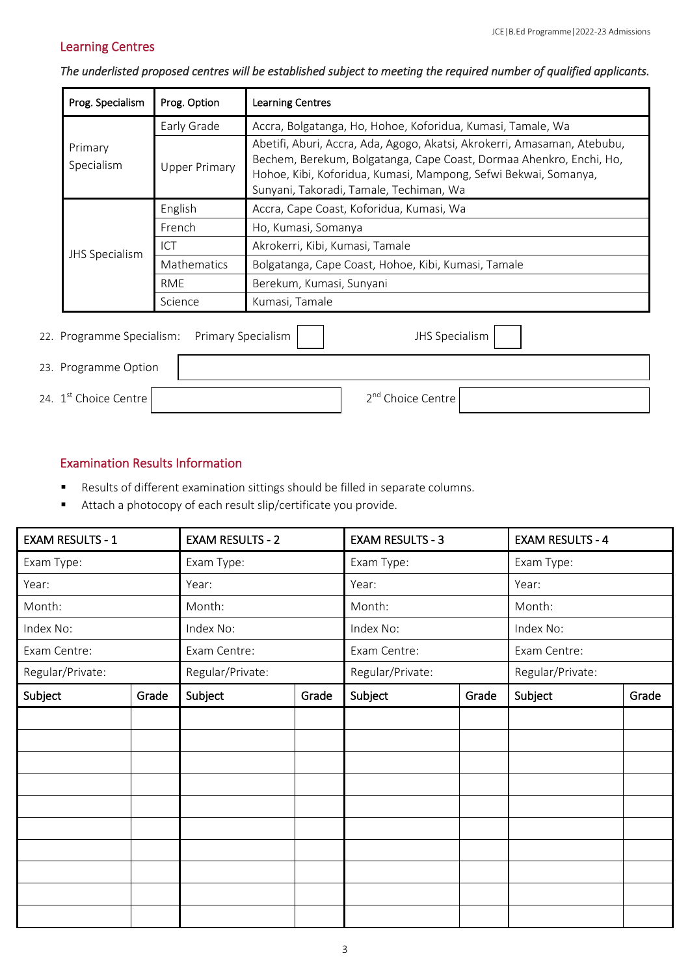# Learning Centres

| Prog. Specialism                                                     | Prog. Option         | <b>Learning Centres</b>                                                                                                                                                                                                                                       |  |  |  |  |
|----------------------------------------------------------------------|----------------------|---------------------------------------------------------------------------------------------------------------------------------------------------------------------------------------------------------------------------------------------------------------|--|--|--|--|
|                                                                      | Early Grade          | Accra, Bolgatanga, Ho, Hohoe, Koforidua, Kumasi, Tamale, Wa                                                                                                                                                                                                   |  |  |  |  |
| Primary<br>Specialism                                                | <b>Upper Primary</b> | Abetifi, Aburi, Accra, Ada, Agogo, Akatsi, Akrokerri, Amasaman, Atebubu,<br>Bechem, Berekum, Bolgatanga, Cape Coast, Dormaa Ahenkro, Enchi, Ho,<br>Hohoe, Kibi, Koforidua, Kumasi, Mampong, Sefwi Bekwai, Somanya,<br>Sunyani, Takoradi, Tamale, Techiman, Wa |  |  |  |  |
|                                                                      | English              | Accra, Cape Coast, Koforidua, Kumasi, Wa                                                                                                                                                                                                                      |  |  |  |  |
|                                                                      | French               | Ho, Kumasi, Somanya                                                                                                                                                                                                                                           |  |  |  |  |
| JHS Specialism                                                       | ICT                  | Akrokerri, Kibi, Kumasi, Tamale                                                                                                                                                                                                                               |  |  |  |  |
|                                                                      | Mathematics          | Bolgatanga, Cape Coast, Hohoe, Kibi, Kumasi, Tamale                                                                                                                                                                                                           |  |  |  |  |
|                                                                      | <b>RME</b>           | Berekum, Kumasi, Sunyani                                                                                                                                                                                                                                      |  |  |  |  |
|                                                                      | Science              | Kumasi, Tamale                                                                                                                                                                                                                                                |  |  |  |  |
| Programme Specialism:<br><b>Primary Specialism</b><br>JHS Specialism |                      |                                                                                                                                                                                                                                                               |  |  |  |  |

# *The underlisted proposed centres will be established subject to meeting the required number of qualified applicants.*

| 22. Programme Specialism: Primary Specialism | JHS Specialism                |
|----------------------------------------------|-------------------------------|
| 23. Programme Option                         |                               |
| 24. $1st$ Choice Centre                      | 2 <sup>nd</sup> Choice Centre |

#### Examination Results Information

- Results of different examination sittings should be filled in separate columns.
- Attach a photocopy of each result slip/certificate you provide.

| <b>EXAM RESULTS - 1</b> |       | <b>EXAM RESULTS - 2</b> |       | <b>EXAM RESULTS - 3</b> |       | <b>EXAM RESULTS - 4</b> |       |  |
|-------------------------|-------|-------------------------|-------|-------------------------|-------|-------------------------|-------|--|
| Exam Type:              |       | Exam Type:              |       | Exam Type:              |       | Exam Type:              |       |  |
| Year:                   |       | Year:                   |       | Year:                   |       | Year:                   |       |  |
| Month:                  |       | Month:                  |       | Month:                  |       | Month:                  |       |  |
| Index No:               |       | Index No:               |       | Index No:               |       | Index No:               |       |  |
| Exam Centre:            |       | Exam Centre:            |       | Exam Centre:            |       | Exam Centre:            |       |  |
| Regular/Private:        |       | Regular/Private:        |       | Regular/Private:        |       | Regular/Private:        |       |  |
| Subject                 | Grade | Subject                 | Grade | Subject                 | Grade | Subject                 | Grade |  |
|                         |       |                         |       |                         |       |                         |       |  |
|                         |       |                         |       |                         |       |                         |       |  |
|                         |       |                         |       |                         |       |                         |       |  |
|                         |       |                         |       |                         |       |                         |       |  |
|                         |       |                         |       |                         |       |                         |       |  |
|                         |       |                         |       |                         |       |                         |       |  |
|                         |       |                         |       |                         |       |                         |       |  |
|                         |       |                         |       |                         |       |                         |       |  |
|                         |       |                         |       |                         |       |                         |       |  |
|                         |       |                         |       |                         |       |                         |       |  |